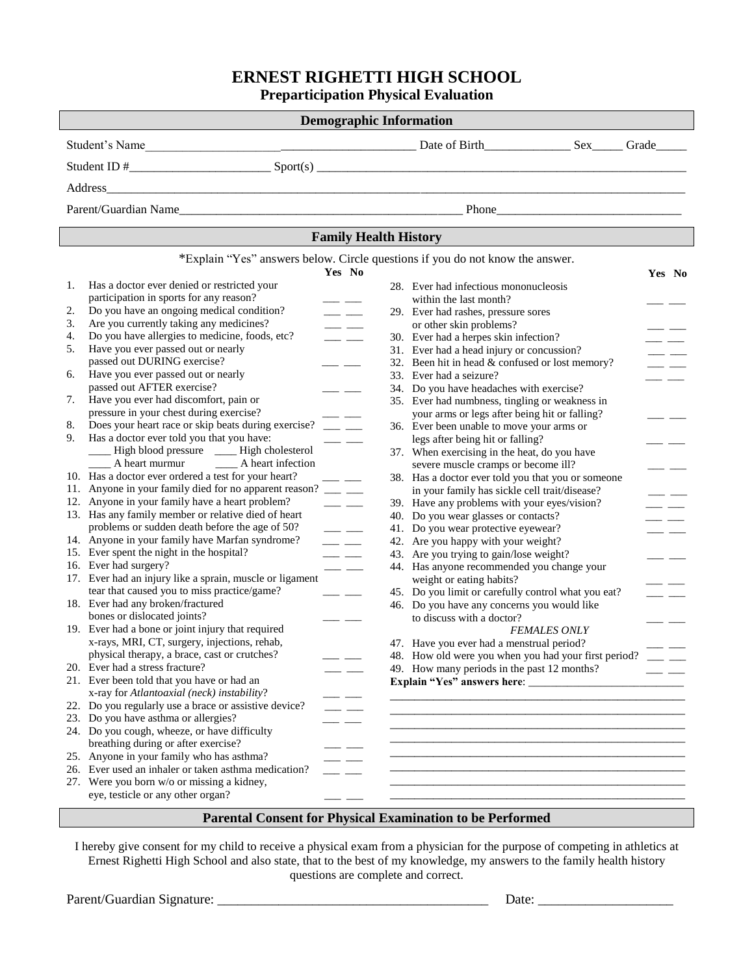### **ERNEST RIGHETTI HIGH SCHOOL**

**Preparticipation Physical Evaluation**

| <b>Demographic Information</b>                                                                    |                                                                                                                                                                                                                                                                                                                                                                                                                                                                                                       |  |  |  |  |  |  |
|---------------------------------------------------------------------------------------------------|-------------------------------------------------------------------------------------------------------------------------------------------------------------------------------------------------------------------------------------------------------------------------------------------------------------------------------------------------------------------------------------------------------------------------------------------------------------------------------------------------------|--|--|--|--|--|--|
|                                                                                                   |                                                                                                                                                                                                                                                                                                                                                                                                                                                                                                       |  |  |  |  |  |  |
|                                                                                                   |                                                                                                                                                                                                                                                                                                                                                                                                                                                                                                       |  |  |  |  |  |  |
| Address                                                                                           |                                                                                                                                                                                                                                                                                                                                                                                                                                                                                                       |  |  |  |  |  |  |
|                                                                                                   |                                                                                                                                                                                                                                                                                                                                                                                                                                                                                                       |  |  |  |  |  |  |
|                                                                                                   |                                                                                                                                                                                                                                                                                                                                                                                                                                                                                                       |  |  |  |  |  |  |
| <b>Family Health History</b>                                                                      |                                                                                                                                                                                                                                                                                                                                                                                                                                                                                                       |  |  |  |  |  |  |
|                                                                                                   | *Explain "Yes" answers below. Circle questions if you do not know the answer.                                                                                                                                                                                                                                                                                                                                                                                                                         |  |  |  |  |  |  |
|                                                                                                   | Yes No<br>Yes No                                                                                                                                                                                                                                                                                                                                                                                                                                                                                      |  |  |  |  |  |  |
| Has a doctor ever denied or restricted your<br>1.                                                 | 28. Ever had infectious mononucleosis                                                                                                                                                                                                                                                                                                                                                                                                                                                                 |  |  |  |  |  |  |
| participation in sports for any reason?                                                           | within the last month?<br>$\frac{1}{1}$                                                                                                                                                                                                                                                                                                                                                                                                                                                               |  |  |  |  |  |  |
| Do you have an ongoing medical condition?<br>2.                                                   | 29. Ever had rashes, pressure sores<br>$\overline{\phantom{a}}$                                                                                                                                                                                                                                                                                                                                                                                                                                       |  |  |  |  |  |  |
| Are you currently taking any medicines?<br>3.                                                     | or other skin problems?<br>$\frac{1}{2} \left( \frac{1}{2} \right) \left( \frac{1}{2} \right) \left( \frac{1}{2} \right) \left( \frac{1}{2} \right) \left( \frac{1}{2} \right) \left( \frac{1}{2} \right) \left( \frac{1}{2} \right) \left( \frac{1}{2} \right) \left( \frac{1}{2} \right) \left( \frac{1}{2} \right) \left( \frac{1}{2} \right) \left( \frac{1}{2} \right) \left( \frac{1}{2} \right) \left( \frac{1}{2} \right) \left( \frac{1}{2} \right) \left( \frac{1}{2} \right) \left( \frac$ |  |  |  |  |  |  |
| Do you have allergies to medicine, foods, etc?<br>4.                                              | 30. Ever had a herpes skin infection?<br>$ -$                                                                                                                                                                                                                                                                                                                                                                                                                                                         |  |  |  |  |  |  |
| 5.<br>Have you ever passed out or nearly                                                          | 31. Ever had a head injury or concussion?<br>$\overline{\phantom{0}}$                                                                                                                                                                                                                                                                                                                                                                                                                                 |  |  |  |  |  |  |
| passed out DURING exercise?                                                                       | 32. Been hit in head & confused or lost memory?<br>$\overline{\phantom{a}}$                                                                                                                                                                                                                                                                                                                                                                                                                           |  |  |  |  |  |  |
| Have you ever passed out or nearly<br>6.                                                          | 33. Ever had a seizure?<br>$ -$                                                                                                                                                                                                                                                                                                                                                                                                                                                                       |  |  |  |  |  |  |
| passed out AFTER exercise?                                                                        | 34. Do you have headaches with exercise?                                                                                                                                                                                                                                                                                                                                                                                                                                                              |  |  |  |  |  |  |
| Have you ever had discomfort, pain or<br>7.                                                       | 35. Ever had numbness, tingling or weakness in                                                                                                                                                                                                                                                                                                                                                                                                                                                        |  |  |  |  |  |  |
| pressure in your chest during exercise?                                                           | your arms or legs after being hit or falling?                                                                                                                                                                                                                                                                                                                                                                                                                                                         |  |  |  |  |  |  |
| Does your heart race or skip beats during exercise? ____ ___<br>8.                                | 36. Ever been unable to move your arms or                                                                                                                                                                                                                                                                                                                                                                                                                                                             |  |  |  |  |  |  |
| Has a doctor ever told you that you have:<br>9.                                                   | legs after being hit or falling?                                                                                                                                                                                                                                                                                                                                                                                                                                                                      |  |  |  |  |  |  |
| ___ High blood pressure ____ High cholesterol                                                     | 37. When exercising in the heat, do you have                                                                                                                                                                                                                                                                                                                                                                                                                                                          |  |  |  |  |  |  |
| _____ A heart murmur ______ A heart infection                                                     | severe muscle cramps or become ill?<br>$\overline{\phantom{a}}$                                                                                                                                                                                                                                                                                                                                                                                                                                       |  |  |  |  |  |  |
| 10. Has a doctor ever ordered a test for your heart?                                              | 38. Has a doctor ever told you that you or someone<br>$\overline{\phantom{a}}$                                                                                                                                                                                                                                                                                                                                                                                                                        |  |  |  |  |  |  |
| 11. Anyone in your family died for no apparent reason? ___ __                                     | in your family has sickle cell trait/disease?<br>$\equiv$ $\equiv$                                                                                                                                                                                                                                                                                                                                                                                                                                    |  |  |  |  |  |  |
| 12. Anyone in your family have a heart problem?                                                   | 39. Have any problems with your eyes/vision?<br>$\overline{\phantom{a}}$<br>$\overline{\phantom{a}}$                                                                                                                                                                                                                                                                                                                                                                                                  |  |  |  |  |  |  |
| 13. Has any family member or relative died of heart                                               | 40. Do you wear glasses or contacts?<br>$\overline{\phantom{a}}$                                                                                                                                                                                                                                                                                                                                                                                                                                      |  |  |  |  |  |  |
| problems or sudden death before the age of 50?                                                    | 41. Do you wear protective eyewear?<br>$\overline{\phantom{a}}$<br>$ -$                                                                                                                                                                                                                                                                                                                                                                                                                               |  |  |  |  |  |  |
| 14. Anyone in your family have Marfan syndrome?                                                   | $\frac{1}{2}$ and $\frac{1}{2}$<br>42. Are you happy with your weight?                                                                                                                                                                                                                                                                                                                                                                                                                                |  |  |  |  |  |  |
| 15. Ever spent the night in the hospital?                                                         | 43. Are you trying to gain/lose weight?<br>$\frac{1}{1}$<br>$\overline{\phantom{a}}$                                                                                                                                                                                                                                                                                                                                                                                                                  |  |  |  |  |  |  |
| 16. Ever had surgery?                                                                             | 44. Has anyone recommended you change your                                                                                                                                                                                                                                                                                                                                                                                                                                                            |  |  |  |  |  |  |
| 17. Ever had an injury like a sprain, muscle or ligament                                          | weight or eating habits?                                                                                                                                                                                                                                                                                                                                                                                                                                                                              |  |  |  |  |  |  |
| tear that caused you to miss practice/game?<br>18. Ever had any broken/fractured                  | $\frac{1}{2}$<br>45. Do you limit or carefully control what you eat?<br>$\overline{\phantom{a}}$                                                                                                                                                                                                                                                                                                                                                                                                      |  |  |  |  |  |  |
| bones or dislocated joints?                                                                       | 46. Do you have any concerns you would like                                                                                                                                                                                                                                                                                                                                                                                                                                                           |  |  |  |  |  |  |
|                                                                                                   | to discuss with a doctor?<br>— —                                                                                                                                                                                                                                                                                                                                                                                                                                                                      |  |  |  |  |  |  |
| 19. Ever had a bone or joint injury that required<br>x-rays, MRI, CT, surgery, injections, rehab, | <b>FEMALES ONLY</b>                                                                                                                                                                                                                                                                                                                                                                                                                                                                                   |  |  |  |  |  |  |
|                                                                                                   | 47. Have you ever had a menstrual period?                                                                                                                                                                                                                                                                                                                                                                                                                                                             |  |  |  |  |  |  |
| physical therapy, a brace, cast or crutches?<br>20. Ever had a stress fracture?                   | 48. How old were you when you had your first period?                                                                                                                                                                                                                                                                                                                                                                                                                                                  |  |  |  |  |  |  |
| 21. Ever been told that you have or had an                                                        | 49. How many periods in the past 12 months?                                                                                                                                                                                                                                                                                                                                                                                                                                                           |  |  |  |  |  |  |
| x-ray for Atlantoaxial (neck) instability?                                                        |                                                                                                                                                                                                                                                                                                                                                                                                                                                                                                       |  |  |  |  |  |  |
| 22. Do you regularly use a brace or assistive device?                                             |                                                                                                                                                                                                                                                                                                                                                                                                                                                                                                       |  |  |  |  |  |  |
| 23. Do you have asthma or allergies?                                                              |                                                                                                                                                                                                                                                                                                                                                                                                                                                                                                       |  |  |  |  |  |  |
| 24. Do you cough, wheeze, or have difficulty                                                      |                                                                                                                                                                                                                                                                                                                                                                                                                                                                                                       |  |  |  |  |  |  |
| breathing during or after exercise?                                                               |                                                                                                                                                                                                                                                                                                                                                                                                                                                                                                       |  |  |  |  |  |  |
| 25. Anyone in your family who has asthma?                                                         |                                                                                                                                                                                                                                                                                                                                                                                                                                                                                                       |  |  |  |  |  |  |
| 26. Ever used an inhaler or taken asthma medication?                                              |                                                                                                                                                                                                                                                                                                                                                                                                                                                                                                       |  |  |  |  |  |  |
| 27. Were you born w/o or missing a kidney,                                                        |                                                                                                                                                                                                                                                                                                                                                                                                                                                                                                       |  |  |  |  |  |  |
| eye, testicle or any other organ?                                                                 |                                                                                                                                                                                                                                                                                                                                                                                                                                                                                                       |  |  |  |  |  |  |
|                                                                                                   |                                                                                                                                                                                                                                                                                                                                                                                                                                                                                                       |  |  |  |  |  |  |

### **Parental Consent for Physical Examination to be Performed**

I hereby give consent for my child to receive a physical exam from a physician for the purpose of competing in athletics at Ernest Righetti High School and also state, that to the best of my knowledge, my answers to the family health history questions are complete and correct.

Parent/Guardian Signature: \_\_\_\_\_\_\_\_\_\_\_\_\_\_\_\_\_\_\_\_\_\_\_\_\_\_\_\_\_\_\_\_\_\_\_\_\_\_\_\_ Date: \_\_\_\_\_\_\_\_\_\_\_\_\_\_\_\_\_\_\_\_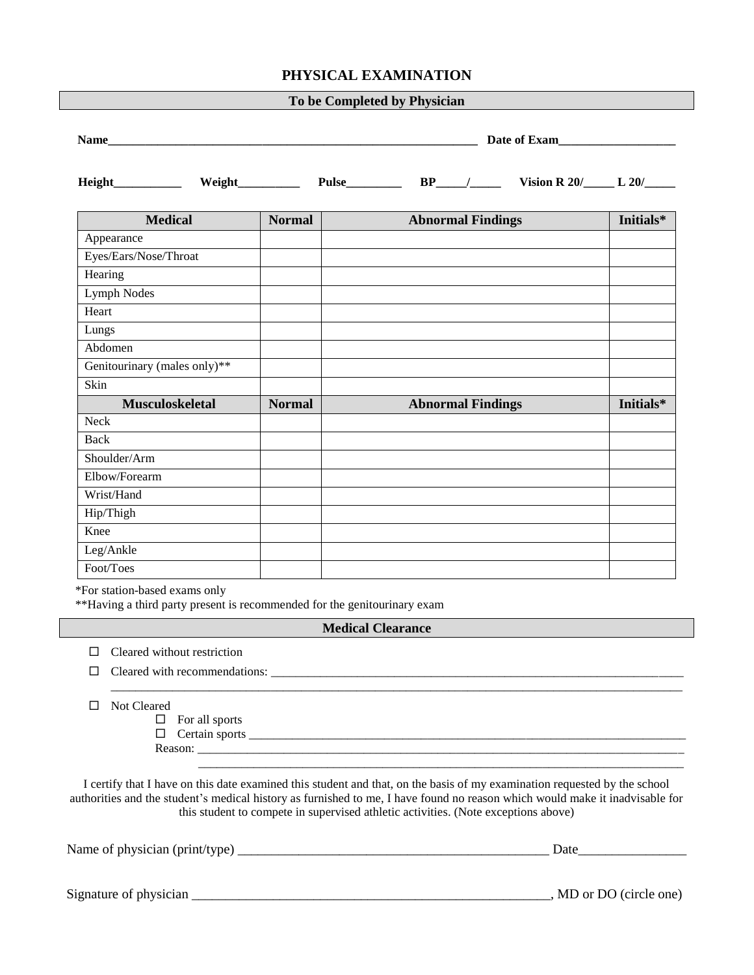### **PHYSICAL EXAMINATION**

| To be Completed by Physician |               |                          |           |  |  |  |
|------------------------------|---------------|--------------------------|-----------|--|--|--|
|                              | Date of Exam  |                          |           |  |  |  |
|                              |               |                          |           |  |  |  |
| <b>Medical</b>               | <b>Normal</b> | <b>Abnormal Findings</b> | Initials* |  |  |  |
| Appearance                   |               |                          |           |  |  |  |
| Eyes/Ears/Nose/Throat        |               |                          |           |  |  |  |
| Hearing                      |               |                          |           |  |  |  |
| Lymph Nodes                  |               |                          |           |  |  |  |
| Heart                        |               |                          |           |  |  |  |
| Lungs                        |               |                          |           |  |  |  |
| Abdomen                      |               |                          |           |  |  |  |
| Genitourinary (males only)** |               |                          |           |  |  |  |
| Skin                         |               |                          |           |  |  |  |
| <b>Musculoskeletal</b>       | <b>Normal</b> | <b>Abnormal Findings</b> | Initials* |  |  |  |
| <b>Neck</b>                  |               |                          |           |  |  |  |
| Back                         |               |                          |           |  |  |  |
| Shoulder/Arm                 |               |                          |           |  |  |  |
| Elbow/Forearm                |               |                          |           |  |  |  |
| Wrist/Hand                   |               |                          |           |  |  |  |
| Hip/Thigh                    |               |                          |           |  |  |  |
| Knee                         |               |                          |           |  |  |  |
| Leg/Ankle                    |               |                          |           |  |  |  |
| Foot/Toes                    |               |                          |           |  |  |  |

\*For station-based exams only

\*\*Having a third party present is recommended for the genitourinary exam

#### **Medical Clearance**

\_\_\_\_\_\_\_\_\_\_\_\_\_\_\_\_\_\_\_\_\_\_\_\_\_\_\_\_\_\_\_\_\_\_\_\_\_\_\_\_\_\_\_\_\_\_\_\_\_\_\_\_\_\_\_\_\_\_\_\_\_\_\_\_\_\_\_\_\_\_\_\_\_\_\_\_\_\_\_\_\_\_\_\_\_\_\_\_\_\_\_\_\_

 $\mathcal{L} = \{ \mathcal{L} = \{ \mathcal{L} \mid \mathcal{L} = \{ \mathcal{L} \mid \mathcal{L} = \{ \mathcal{L} \mid \mathcal{L} = \{ \mathcal{L} \mid \mathcal{L} = \{ \mathcal{L} \mid \mathcal{L} = \{ \mathcal{L} \mid \mathcal{L} = \{ \mathcal{L} \mid \mathcal{L} = \{ \mathcal{L} \mid \mathcal{L} = \{ \mathcal{L} \mid \mathcal{L} = \{ \mathcal{L} \mid \mathcal{L} = \{ \mathcal{L} \mid \mathcal{L} = \{ \mathcal{L} \mid \mathcal{L} =$ 

| $\Box$ Cleared without restriction |  |
|------------------------------------|--|
|------------------------------------|--|

 $\square$  Cleared with recommendations:  $\qquad \qquad \square$ 

□ Not Cleared

 $\Box$  For all sports

 Certain sports \_\_\_\_\_\_\_\_\_\_\_\_\_\_\_\_\_\_\_\_\_\_\_\_\_\_\_\_\_\_\_\_\_\_\_\_\_\_\_\_\_\_\_\_\_\_\_\_\_\_\_\_\_\_\_\_\_\_\_\_\_\_\_\_\_\_\_\_\_\_\_ Reason: \_\_\_\_\_\_\_\_\_\_\_\_\_\_\_\_\_\_\_\_\_\_\_\_\_\_\_\_\_\_\_\_\_\_\_\_\_\_\_\_\_\_\_\_\_\_\_\_\_\_\_\_\_\_\_\_\_\_\_\_\_\_\_\_\_\_\_\_\_\_\_\_\_\_\_\_\_\_\_

I certify that I have on this date examined this student and that, on the basis of my examination requested by the school authorities and the student's medical history as furnished to me, I have found no reason which would make it inadvisable for this student to compete in supervised athletic activities. (Note exceptions above)

Name of physician (print/type) \_\_\_\_\_\_\_\_\_\_\_\_\_\_\_\_\_\_\_\_\_\_\_\_\_\_\_\_\_\_\_\_\_\_\_\_\_\_\_\_\_\_\_\_\_\_ Date\_\_\_\_\_\_\_\_\_\_\_\_\_\_\_\_

Signature of physician \_\_\_\_\_\_\_\_\_\_\_\_\_\_\_\_\_\_\_\_\_\_\_\_\_\_\_\_\_\_\_\_\_\_\_\_\_\_\_\_\_\_\_\_\_\_\_\_\_\_\_\_\_, MD or DO (circle one)